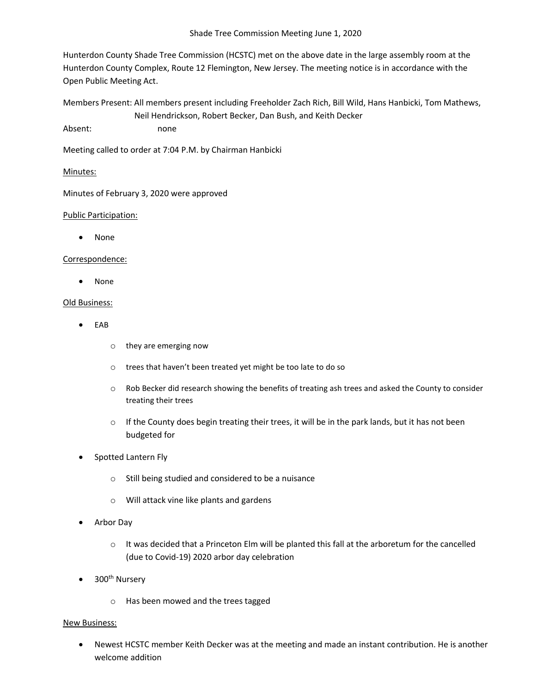Shade Tree Commission Meeting June 1, 2020

Hunterdon County Shade Tree Commission (HCSTC) met on the above date in the large assembly room at the Hunterdon County Complex, Route 12 Flemington, New Jersey. The meeting notice is in accordance with the Open Public Meeting Act.

Members Present: All members present including Freeholder Zach Rich, Bill Wild, Hans Hanbicki, Tom Mathews, Neil Hendrickson, Robert Becker, Dan Bush, and Keith Decker

Absent: none

Meeting called to order at 7:04 P.M. by Chairman Hanbicki

# Minutes:

Minutes of February 3, 2020 were approved

# Public Participation:

• None

## Correspondence:

• None

### Old Business:

- EAB
	- o they are emerging now
	- o trees that haven't been treated yet might be too late to do so
	- o Rob Becker did research showing the benefits of treating ash trees and asked the County to consider treating their trees
	- $\circ$  If the County does begin treating their trees, it will be in the park lands, but it has not been budgeted for
- Spotted Lantern Fly
	- o Still being studied and considered to be a nuisance
	- o Will attack vine like plants and gardens
- Arbor Day
	- $\circ$  It was decided that a Princeton Elm will be planted this fall at the arboretum for the cancelled (due to Covid-19) 2020 arbor day celebration
- 300<sup>th</sup> Nursery
	- o Has been mowed and the trees tagged

#### New Business:

• Newest HCSTC member Keith Decker was at the meeting and made an instant contribution. He is another welcome addition